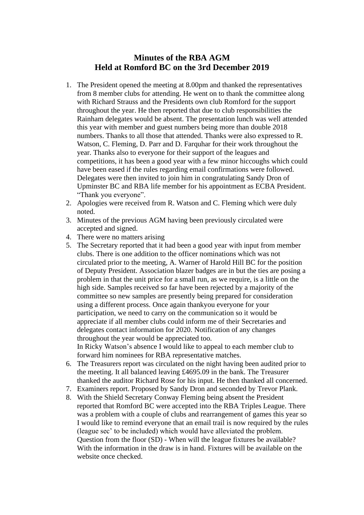# **Minutes of the RBA AGM Held at Romford BC on the 3rd December 2019**

- 1. The President opened the meeting at 8.00pm and thanked the representatives from 8 member clubs for attending. He went on to thank the committee along with Richard Strauss and the Presidents own club Romford for the support throughout the year. He then reported that due to club responsibilities the Rainham delegates would be absent. The presentation lunch was well attended this year with member and guest numbers being more than double 2018 numbers. Thanks to all those that attended. Thanks were also expressed to R. Watson, C. Fleming, D. Parr and D. Farquhar for their work throughout the year. Thanks also to everyone for their support of the leagues and competitions, it has been a good year with a few minor hiccoughs which could have been eased if the rules regarding email confirmations were followed. Delegates were then invited to join him in congratulating Sandy Dron of Upminster BC and RBA life member for his appointment as ECBA President. "Thank you everyone".
- 2. Apologies were received from R. Watson and C. Fleming which were duly noted.
- 3. Minutes of the previous AGM having been previously circulated were accepted and signed.
- 4. There were no matters arising
- 5. The Secretary reported that it had been a good year with input from member clubs. There is one addition to the officer nominations which was not circulated prior to the meeting, A. Warner of Harold Hill BC for the position of Deputy President. Association blazer badges are in but the ties are posing a problem in that the unit price for a small run, as we require, is a little on the high side. Samples received so far have been rejected by a majority of the committee so new samples are presently being prepared for consideration using a different process. Once again thankyou everyone for your participation, we need to carry on the communication so it would be appreciate if all member clubs could inform me of their Secretaries and delegates contact information for 2020. Notification of any changes throughout the year would be appreciated too. In Ricky Watson's absence I would like to appeal to each member club to forward him nominees for RBA representative matches.
- 6. The Treasurers report was circulated on the night having been audited prior to the meeting. It all balanced leaving £4695.09 in the bank. The Treasurer thanked the auditor Richard Rose for his input. He then thanked all concerned.
- 7. Examiners report. Proposed by Sandy Dron and seconded by Trevor Plank.
- 8. With the Shield Secretary Conway Fleming being absent the President reported that Romford BC were accepted into the RBA Triples League. There was a problem with a couple of clubs and rearrangement of games this year so I would like to remind everyone that an email trail is now required by the rules (league sec' to be included) which would have alleviated the problem. Question from the floor (SD) - When will the league fixtures be available? With the information in the draw is in hand. Fixtures will be available on the website once checked.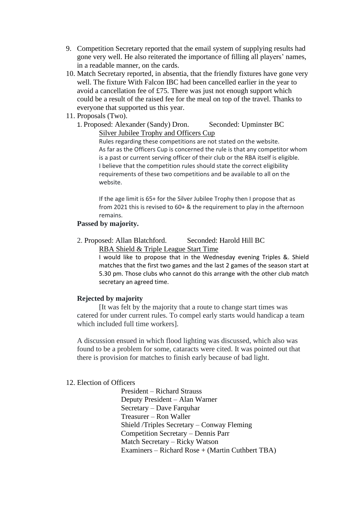- 9. Competition Secretary reported that the email system of supplying results had gone very well. He also reiterated the importance of filling all players' names, in a readable manner, on the cards.
- 10. Match Secretary reported, in absentia, that the friendly fixtures have gone very well. The fixture With Falcon IBC had been cancelled earlier in the year to avoid a cancellation fee of £75. There was just not enough support which could be a result of the raised fee for the meal on top of the travel. Thanks to everyone that supported us this year.
- 11. Proposals (Two).
	- 1. Proposed: Alexander (Sandy) Dron. Seconded: Upminster BC Silver Jubilee Trophy and Officers Cup

Rules regarding these competitions are not stated on the website. As far as the Officers Cup is concerned the rule is that any competitor whom is a past or current serving officer of their club or the RBA itself is eligible. I believe that the competition rules should state the correct eligibility requirements of these two competitions and be available to all on the website.

If the age limit is 65+ for the Silver Jubilee Trophy then I propose that as from 2021 this is revised to 60+ & the requirement to play in the afternoon remains.

### **Passed by majority.**

2. Proposed: Allan Blatchford. Seconded: Harold Hill BC RBA Shield & Triple League Start Time

> I would like to propose that in the Wednesday evening Triples &. Shield matches that the first two games and the last 2 games of the season start at 5.30 pm. Those clubs who cannot do this arrange with the other club match secretary an agreed time.

## **Rejected by majority**

[It was felt by the majority that a route to change start times was catered for under current rules. To compel early starts would handicap a team which included full time workers].

A discussion ensued in which flood lighting was discussed, which also was found to be a problem for some, cataracts were cited. It was pointed out that there is provision for matches to finish early because of bad light.

#### 12. Election of Officers

President – Richard Strauss Deputy President – Alan Warner Secretary – Dave Farquhar Treasurer – Ron Waller Shield /Triples Secretary – Conway Fleming Competition Secretary – Dennis Parr Match Secretary – Ricky Watson Examiners – Richard Rose + (Martin Cuthbert TBA)